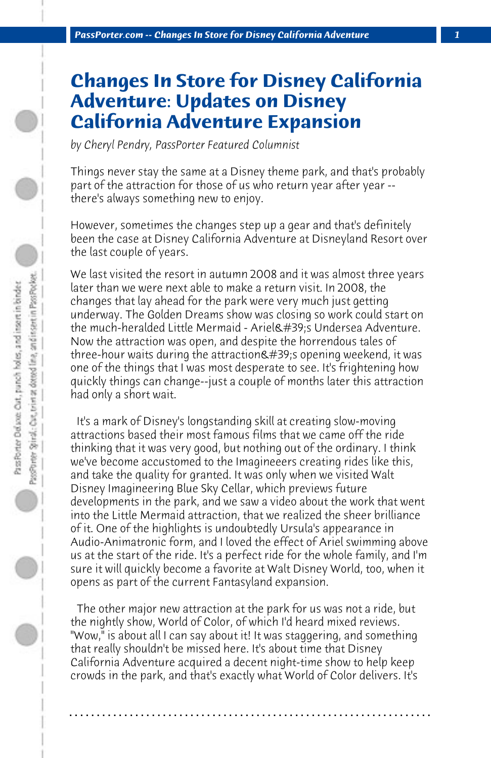## **Changes In Store for Disney California Adventure: Updates on Disney California Adventure Expansion**

*by Cheryl Pendry, PassPorter Featured Columnist*

Things never stay the same at a Disney theme park, and that's probably part of the attraction for those of us who return year after year - there's always something new to enjoy.

However, sometimes the changes step up a gear and that's definitely been the case at Disney California Adventure at Disneyland Resort over the last couple of years.

We last visited the resort in autumn 2008 and it was almost three years later than we were next able to make a return visit. In 2008, the changes that lay ahead for the park were very much just getting underway. The Golden Dreams show was closing so work could start on the much-heralded Little Mermaid - Ariel's Undersea Adventure. Now the attraction was open, and despite the horrendous tales of three-hour waits during the attraction & #39; s opening weekend, it was one of the things that I was most desperate to see. It's frightening how quickly things can change--just a couple of months later this attraction had only a short wait.

 It's a mark of Disney's longstanding skill at creating slow-moving attractions based their most famous films that we came off the ride thinking that it was very good, but nothing out of the ordinary. I think we've become accustomed to the Imagineeers creating rides like this, and take the quality for granted. It was only when we visited Walt Disney Imagineering Blue Sky Cellar, which previews future developments in the park, and we saw a video about the work that went into the Little Mermaid attraction, that we realized the sheer brilliance of it. One of the highlights is undoubtedly Ursula's appearance in Audio-Animatronic form, and I loved the effect of Ariel swimming above us at the start of the ride. It's a perfect ride for the whole family, and I'm sure it will quickly become a favorite at Walt Disney World, too, when it opens as part of the current Fantasyland expansion.

 The other major new attraction at the park for us was not a ride, but the nightly show, World of Color, of which I'd heard mixed reviews. "Wow," is about all I can say about it! It was staggering, and something that really shouldn't be missed here. It's about time that Disney California Adventure acquired a decent night-time show to help keep crowds in the park, and that's exactly what World of Color delivers. It's

**. . . . . . . . . . . . . . . . . . . . . . . . . . . . . . . . . . . . . . . . . . . . . . . . . . . . . . . . . . . . . . . . . .**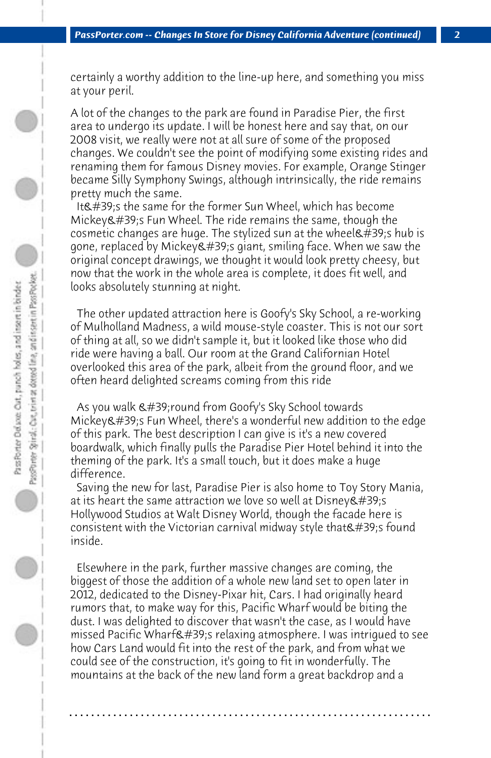certainly a worthy addition to the line-up here, and something you miss at your peril.

A lot of the changes to the park are found in Paradise Pier, the first area to undergo its update. I will be honest here and say that, on our 2008 visit, we really were not at all sure of some of the proposed changes. We couldn't see the point of modifying some existing rides and renaming them for famous Disney movies. For example, Orange Stinger became Silly Symphony Swings, although intrinsically, the ride remains pretty much the same.

It's the same for the former Sun Wheel, which has become  $Mickev$ 's Fun Wheel. The ride remains the same, though the cosmetic changes are huge. The stylized sun at the wheel &  $\#39$ ; shub is gone, replaced by Mickey  $\&\#39$ ; giant, smiling face. When we saw the original concept drawings, we thought it would look pretty cheesy, but now that the work in the whole area is complete, it does fit well, and looks absolutely stunning at night.

 The other updated attraction here is Goofy's Sky School, a re-working of Mulholland Madness, a wild mouse-style coaster. This is not our sort of thing at all, so we didn't sample it, but it looked like those who did ride were having a ball. Our room at the Grand Californian Hotel overlooked this area of the park, albeit from the ground floor, and we often heard delighted screams coming from this ride

As you walk  $\&\#39$ ; round from Goofy's Sky School towards Mickey's Fun Wheel, there's a wonderful new addition to the edge of this park. The best description I can give is it's a new covered boardwalk, which finally pulls the Paradise Pier Hotel behind it into the theming of the park. It's a small touch, but it does make a huge difference.

 Saving the new for last, Paradise Pier is also home to Toy Story Mania, at its heart the same attraction we love so well at Disney &  $\#39$ ; s Hollywood Studios at Walt Disney World, though the facade here is consistent with the Victorian carnival midway style that  $\&\#39$ ; found inside.

 Elsewhere in the park, further massive changes are coming, the biggest of those the addition of a whole new land set to open later in 2012, dedicated to the Disney-Pixar hit, Cars. I had originally heard rumors that, to make way for this, Pacific Wharf would be biting the dust. I was delighted to discover that wasn't the case, as I would have missed Pacific Wharf $\&$ #39;s relaxing atmosphere. I was intrigued to see how Cars Land would fit into the rest of the park, and from what we could see of the construction, it's going to fit in wonderfully. The mountains at the back of the new land form a great backdrop and a

**. . . . . . . . . . . . . . . . . . . . . . . . . . . . . . . . . . . . . . . . . . . . . . . . . . . . . . . . . . . . . . . . . .**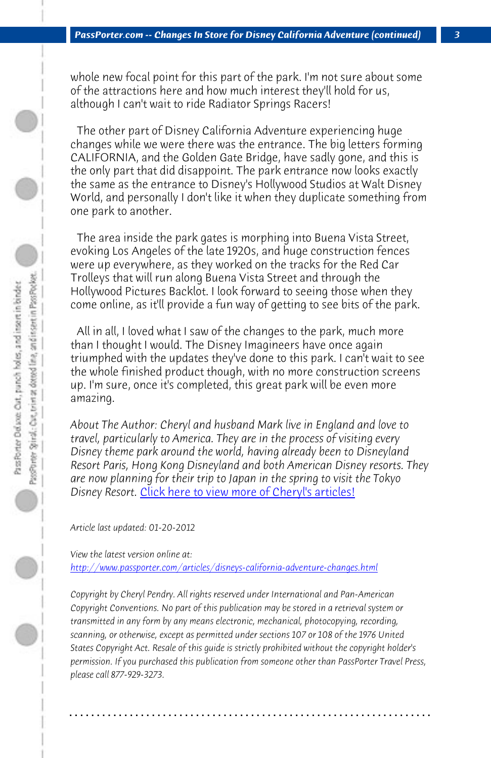*PassPorter.com -- Changes In Store for Disney California Adventure (continued) 3*

whole new focal point for this part of the park. I'm not sure about some of the attractions here and how much interest they'll hold for us, although I can't wait to ride Radiator Springs Racers!

 The other part of Disney California Adventure experiencing huge changes while we were there was the entrance. The big letters forming CALIFORNIA, and the Golden Gate Bridge, have sadly gone, and this is the only part that did disappoint. The park entrance now looks exactly the same as the entrance to Disney's Hollywood Studios at Walt Disney World, and personally I don't like it when they duplicate something from one park to another.

 The area inside the park gates is morphing into Buena Vista Street, evoking Los Angeles of the late 1920s, and huge construction fences were up ever[ywhere, as they worked on the tracks for the](http://www.passporter.com/articles/cheryl-pendry-featured-columnist.asp) Red Car Trolleys that will run along Buena Vista Street and through the Hollywood Pictures Backlot. I look forward to seeing those when they come online, as it'll provide a fun way of getting to see bits of the park.

 All in all, I loved what I saw of the changes to the park, much more [than I thought I would. The Disney Imagineers have once again](http://www.passporter.com/articles/disneys-california-adventure-changes.php) triumphed with the updates they've done to this park. I can't wait to see the whole finished product though, with no more construction screens up. I'm sure, once it's completed, this great park will be even more amazing.

*About The Author: Cheryl and husband Mark live in England and love to travel, particularly to America. They are in the process of visiting every Disney theme park around the world, having already been to Disneyland Resort Paris, Hong Kong Disneyland and both American Disney resorts. They are now planning for their trip to Japan in the spring to visit the Tokyo Disney Resort.* Click here to view more of Cheryl's articles!

*Article last updated: 01-20-2012*

*View the latest version online at: http://www.passporter.com/articles/disneys-california-adventure-changes.html*

*Copyright by Cheryl Pendry. All rights reserved under International and Pan-American Copyright Conventions. No part of this publication may be stored in a retrieval system or transmitted in any form by any means electronic, mechanical, photocopying, recording, scanning, or otherwise, except as permitted under sections 107 or 108 of the 1976 United States Copyright Act. Resale of this guide is strictly prohibited without the copyright holder's permission. If you purchased this publication from someone other than PassPorter Travel Press, please call 877-929-3273.*

**. . . . . . . . . . . . . . . . . . . . . . . . . . . . . . . . . . . . . . . . . . . . . . . . . . . . . . . . . . . . . . . . . .**